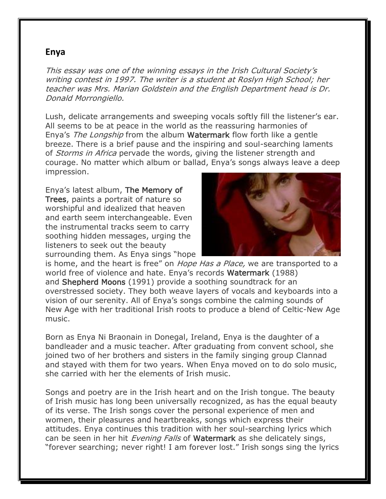## **Enya**

This essay was one of the winning essays in the Irish Cultural Society's writing contest in 1997. The writer is a student at Roslyn High School; her teacher was Mrs. Marian Goldstein and the English Department head is Dr. Donald Morrongiello.

Lush, delicate arrangements and sweeping vocals softly fill the listener's ear. All seems to be at peace in the world as the reassuring harmonies of Enya's The Longship from the album Watermark flow forth like a gentle breeze. There is a brief pause and the inspiring and soul-searching laments of *Storms in Africa* pervade the words, giving the listener strength and courage. No matter which album or ballad, Enya's songs always leave a deep impression.

Enya's latest album, The Memory of Trees, paints a portrait of nature so worshipful and idealized that heaven and earth seem interchangeable. Even the instrumental tracks seem to carry soothing hidden messages, urging the listeners to seek out the beauty surrounding them. As Enya sings "hope



is home, and the heart is free" on *Hope Has a Place*, we are transported to a world free of violence and hate. Enya's records Watermark (1988) and Shepherd Moons (1991) provide a soothing soundtrack for an overstressed society. They both weave layers of vocals and keyboards into a vision of our serenity. All of Enya's songs combine the calming sounds of New Age with her traditional Irish roots to produce a blend of Celtic-New Age music.

Born as Enya Ni Braonain in Donegal, Ireland, Enya is the daughter of a bandleader and a music teacher. After graduating from convent school, she joined two of her brothers and sisters in the family singing group Clannad and stayed with them for two years. When Enya moved on to do solo music, she carried with her the elements of Irish music.

Songs and poetry are in the Irish heart and on the Irish tongue. The beauty of Irish music has long been universally recognized, as has the equal beauty of its verse. The Irish songs cover the personal experience of men and women, their pleasures and heartbreaks, songs which express their attitudes. Enya continues this tradition with her soul-searching lyrics which can be seen in her hit *Evening Falls* of Watermark as she delicately sings, "forever searching; never right! I am forever lost." Irish songs sing the lyrics